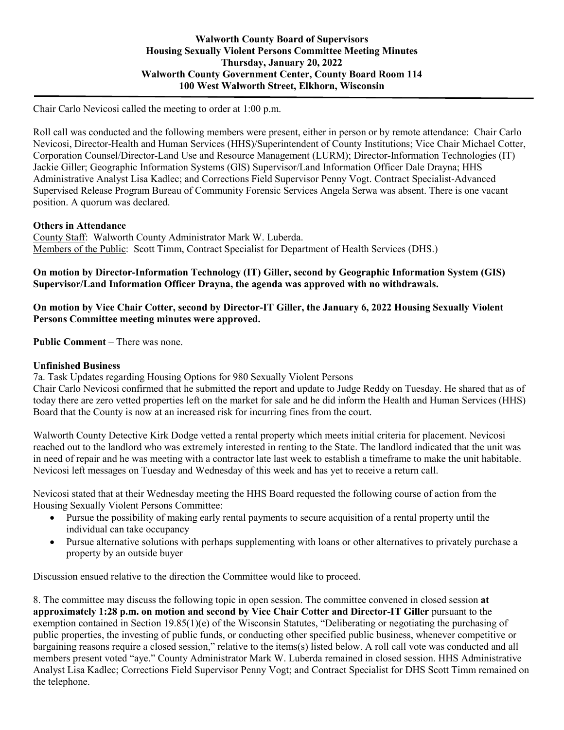Chair Carlo Nevicosi called the meeting to order at 1:00 p.m.

Roll call was conducted and the following members were present, either in person or by remote attendance: Chair Carlo Nevicosi, Director-Health and Human Services (HHS)/Superintendent of County Institutions; Vice Chair Michael Cotter, Corporation Counsel/Director-Land Use and Resource Management (LURM); Director-Information Technologies (IT) Jackie Giller; Geographic Information Systems (GIS) Supervisor/Land Information Officer Dale Drayna; HHS Administrative Analyst Lisa Kadlec; and Corrections Field Supervisor Penny Vogt. Contract Specialist-Advanced Supervised Release Program Bureau of Community Forensic Services Angela Serwa was absent. There is one vacant position. A quorum was declared.

## **Others in Attendance**

County Staff: Walworth County Administrator Mark W. Luberda. Members of the Public: Scott Timm, Contract Specialist for Department of Health Services (DHS.)

## **On motion by Director-Information Technology (IT) Giller, second by Geographic Information System (GIS) Supervisor/Land Information Officer Drayna, the agenda was approved with no withdrawals.**

# **On motion by Vice Chair Cotter, second by Director-IT Giller, the January 6, 2022 Housing Sexually Violent Persons Committee meeting minutes were approved.**

**Public Comment** – There was none.

## **Unfinished Business**

7a. Task Updates regarding Housing Options for 980 Sexually Violent Persons

Chair Carlo Nevicosi confirmed that he submitted the report and update to Judge Reddy on Tuesday. He shared that as of today there are zero vetted properties left on the market for sale and he did inform the Health and Human Services (HHS) Board that the County is now at an increased risk for incurring fines from the court.

Walworth County Detective Kirk Dodge vetted a rental property which meets initial criteria for placement. Nevicosi reached out to the landlord who was extremely interested in renting to the State. The landlord indicated that the unit was in need of repair and he was meeting with a contractor late last week to establish a timeframe to make the unit habitable. Nevicosi left messages on Tuesday and Wednesday of this week and has yet to receive a return call.

Nevicosi stated that at their Wednesday meeting the HHS Board requested the following course of action from the Housing Sexually Violent Persons Committee:

- Pursue the possibility of making early rental payments to secure acquisition of a rental property until the individual can take occupancy
- Pursue alternative solutions with perhaps supplementing with loans or other alternatives to privately purchase a property by an outside buyer

Discussion ensued relative to the direction the Committee would like to proceed.

8. The committee may discuss the following topic in open session. The committee convened in closed session **at approximately 1:28 p.m. on motion and second by Vice Chair Cotter and Director-IT Giller** pursuant to the exemption contained in Section 19.85(1)(e) of the Wisconsin Statutes, "Deliberating or negotiating the purchasing of public properties, the investing of public funds, or conducting other specified public business, whenever competitive or bargaining reasons require a closed session," relative to the items(s) listed below. A roll call vote was conducted and all members present voted "aye." County Administrator Mark W. Luberda remained in closed session. HHS Administrative Analyst Lisa Kadlec; Corrections Field Supervisor Penny Vogt; and Contract Specialist for DHS Scott Timm remained on the telephone.